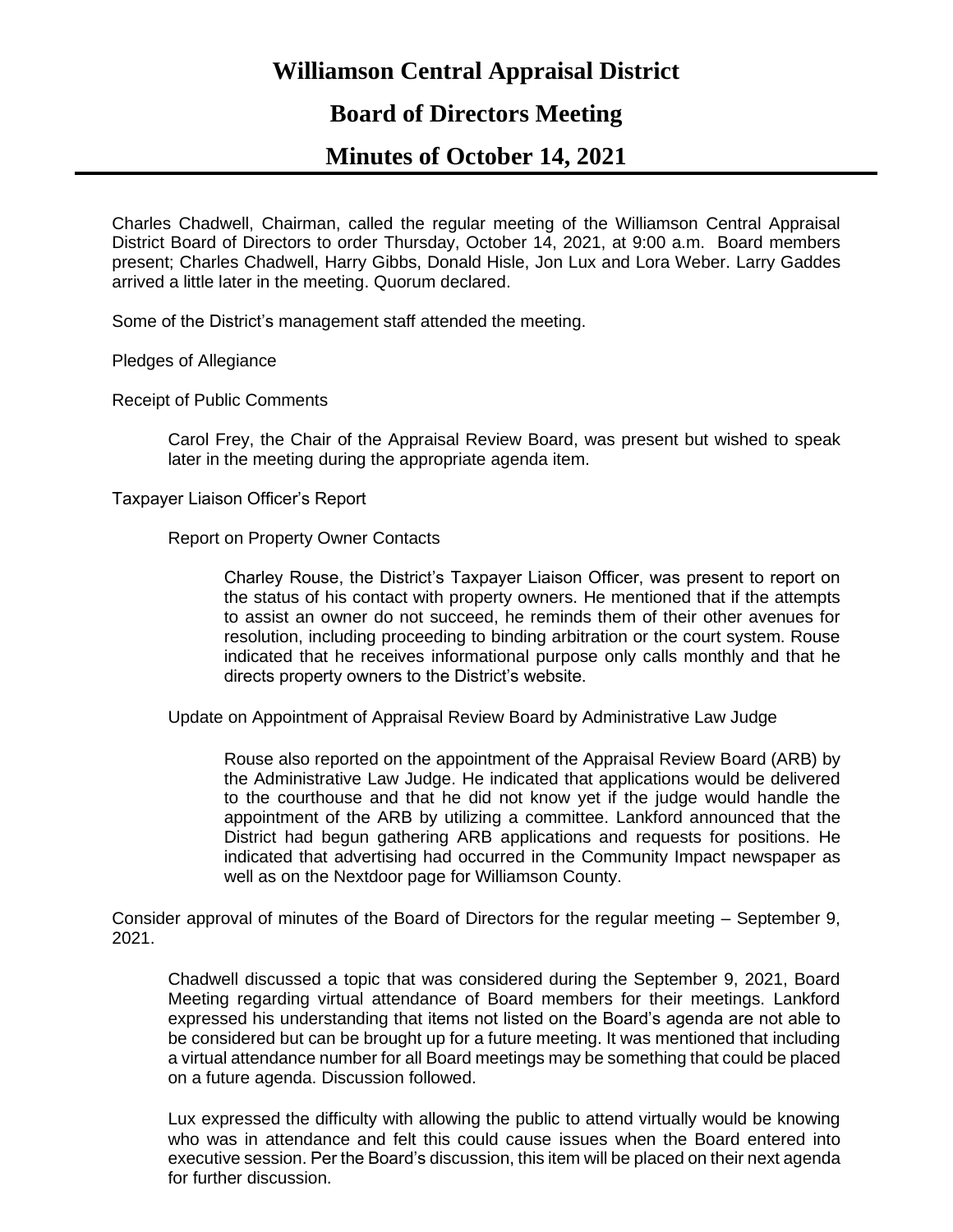# **Williamson Central Appraisal District**

## **Board of Directors Meeting**

### **Minutes of October 14, 2021**

Charles Chadwell, Chairman, called the regular meeting of the Williamson Central Appraisal District Board of Directors to order Thursday, October 14, 2021, at 9:00 a.m. Board members present; Charles Chadwell, Harry Gibbs, Donald Hisle, Jon Lux and Lora Weber. Larry Gaddes arrived a little later in the meeting. Quorum declared.

Some of the District's management staff attended the meeting.

Pledges of Allegiance

Receipt of Public Comments

Carol Frey, the Chair of the Appraisal Review Board, was present but wished to speak later in the meeting during the appropriate agenda item.

Taxpayer Liaison Officer's Report

Report on Property Owner Contacts

Charley Rouse, the District's Taxpayer Liaison Officer, was present to report on the status of his contact with property owners. He mentioned that if the attempts to assist an owner do not succeed, he reminds them of their other avenues for resolution, including proceeding to binding arbitration or the court system. Rouse indicated that he receives informational purpose only calls monthly and that he directs property owners to the District's website.

Update on Appointment of Appraisal Review Board by Administrative Law Judge

Rouse also reported on the appointment of the Appraisal Review Board (ARB) by the Administrative Law Judge. He indicated that applications would be delivered to the courthouse and that he did not know yet if the judge would handle the appointment of the ARB by utilizing a committee. Lankford announced that the District had begun gathering ARB applications and requests for positions. He indicated that advertising had occurred in the Community Impact newspaper as well as on the Nextdoor page for Williamson County.

Consider approval of minutes of the Board of Directors for the regular meeting – September 9, 2021.

Chadwell discussed a topic that was considered during the September 9, 2021, Board Meeting regarding virtual attendance of Board members for their meetings. Lankford expressed his understanding that items not listed on the Board's agenda are not able to be considered but can be brought up for a future meeting. It was mentioned that including a virtual attendance number for all Board meetings may be something that could be placed on a future agenda. Discussion followed.

Lux expressed the difficulty with allowing the public to attend virtually would be knowing who was in attendance and felt this could cause issues when the Board entered into executive session. Per the Board's discussion, this item will be placed on their next agenda for further discussion.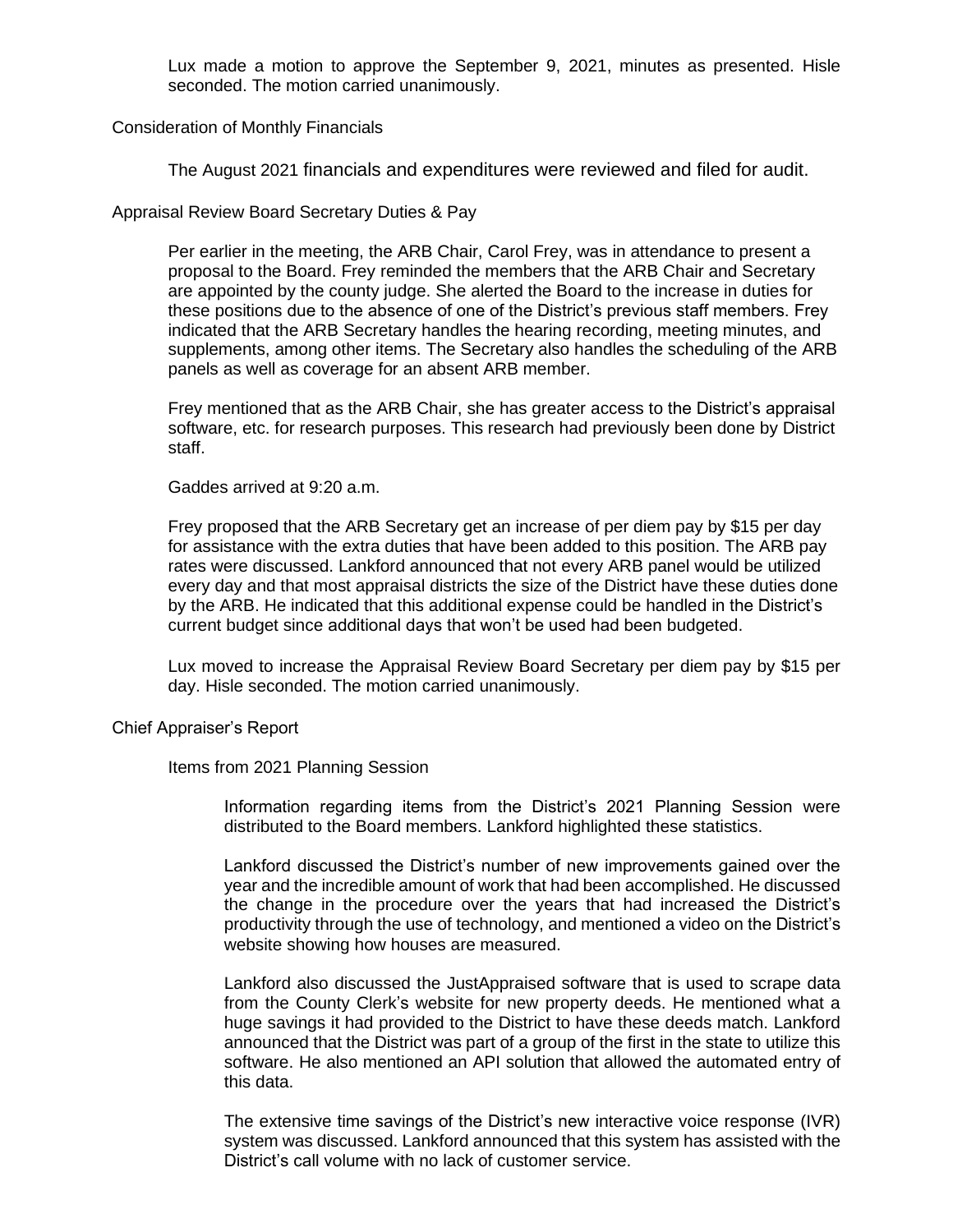Lux made a motion to approve the September 9, 2021, minutes as presented. Hisle seconded. The motion carried unanimously.

Consideration of Monthly Financials

The August 2021 financials and expenditures were reviewed and filed for audit.

Appraisal Review Board Secretary Duties & Pay

Per earlier in the meeting, the ARB Chair, Carol Frey, was in attendance to present a proposal to the Board. Frey reminded the members that the ARB Chair and Secretary are appointed by the county judge. She alerted the Board to the increase in duties for these positions due to the absence of one of the District's previous staff members. Frey indicated that the ARB Secretary handles the hearing recording, meeting minutes, and supplements, among other items. The Secretary also handles the scheduling of the ARB panels as well as coverage for an absent ARB member.

Frey mentioned that as the ARB Chair, she has greater access to the District's appraisal software, etc. for research purposes. This research had previously been done by District staff.

Gaddes arrived at 9:20 a.m.

Frey proposed that the ARB Secretary get an increase of per diem pay by \$15 per day for assistance with the extra duties that have been added to this position. The ARB pay rates were discussed. Lankford announced that not every ARB panel would be utilized every day and that most appraisal districts the size of the District have these duties done by the ARB. He indicated that this additional expense could be handled in the District's current budget since additional days that won't be used had been budgeted.

Lux moved to increase the Appraisal Review Board Secretary per diem pay by \$15 per day. Hisle seconded. The motion carried unanimously.

Chief Appraiser's Report

Items from 2021 Planning Session

Information regarding items from the District's 2021 Planning Session were distributed to the Board members. Lankford highlighted these statistics.

Lankford discussed the District's number of new improvements gained over the year and the incredible amount of work that had been accomplished. He discussed the change in the procedure over the years that had increased the District's productivity through the use of technology, and mentioned a video on the District's website showing how houses are measured.

Lankford also discussed the JustAppraised software that is used to scrape data from the County Clerk's website for new property deeds. He mentioned what a huge savings it had provided to the District to have these deeds match. Lankford announced that the District was part of a group of the first in the state to utilize this software. He also mentioned an API solution that allowed the automated entry of this data.

The extensive time savings of the District's new interactive voice response (IVR) system was discussed. Lankford announced that this system has assisted with the District's call volume with no lack of customer service.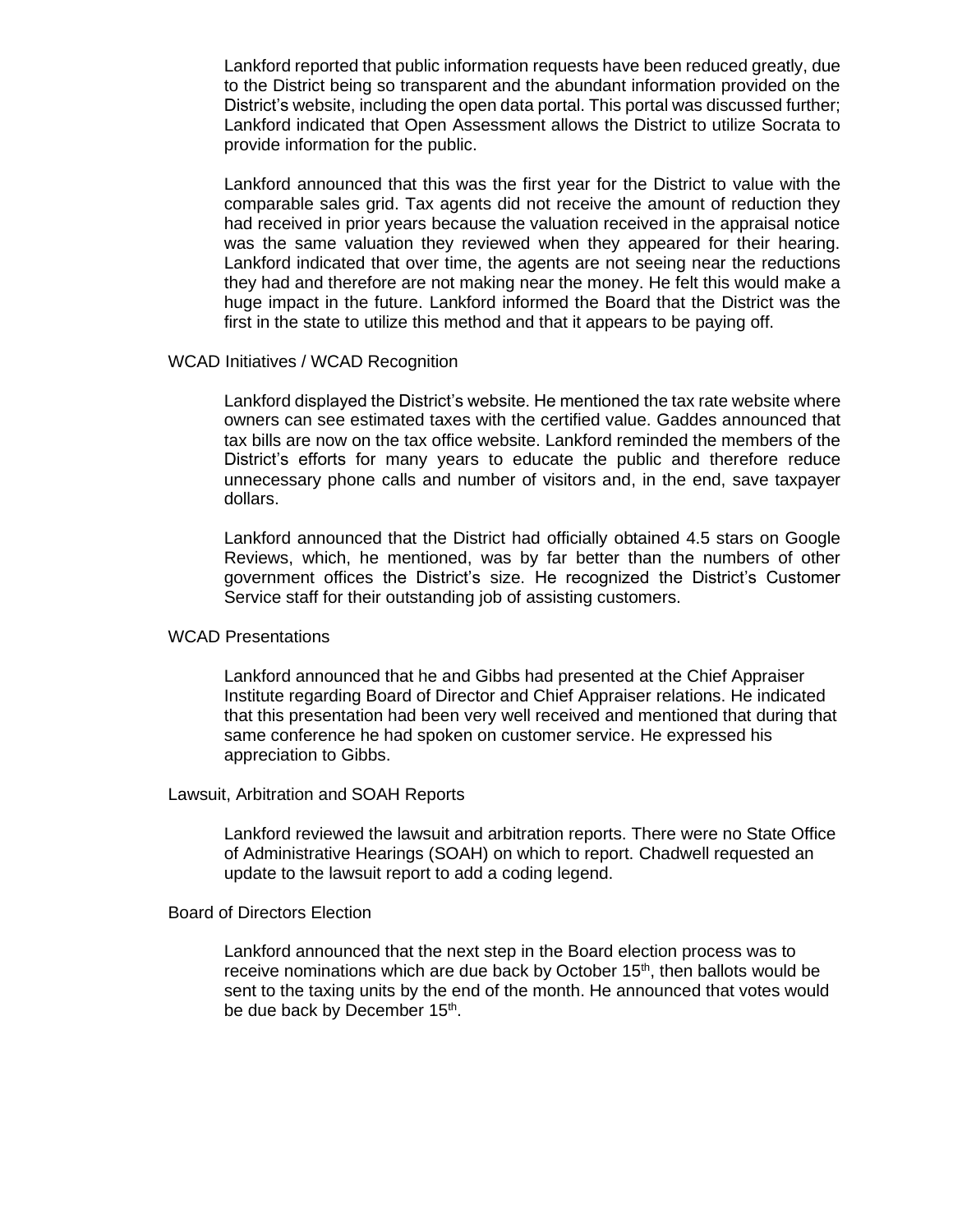Lankford reported that public information requests have been reduced greatly, due to the District being so transparent and the abundant information provided on the District's website, including the open data portal. This portal was discussed further; Lankford indicated that Open Assessment allows the District to utilize Socrata to provide information for the public.

Lankford announced that this was the first year for the District to value with the comparable sales grid. Tax agents did not receive the amount of reduction they had received in prior years because the valuation received in the appraisal notice was the same valuation they reviewed when they appeared for their hearing. Lankford indicated that over time, the agents are not seeing near the reductions they had and therefore are not making near the money. He felt this would make a huge impact in the future. Lankford informed the Board that the District was the first in the state to utilize this method and that it appears to be paying off.

#### WCAD Initiatives / WCAD Recognition

Lankford displayed the District's website. He mentioned the tax rate website where owners can see estimated taxes with the certified value. Gaddes announced that tax bills are now on the tax office website. Lankford reminded the members of the District's efforts for many years to educate the public and therefore reduce unnecessary phone calls and number of visitors and, in the end, save taxpayer dollars.

Lankford announced that the District had officially obtained 4.5 stars on Google Reviews, which, he mentioned, was by far better than the numbers of other government offices the District's size. He recognized the District's Customer Service staff for their outstanding job of assisting customers.

### WCAD Presentations

Lankford announced that he and Gibbs had presented at the Chief Appraiser Institute regarding Board of Director and Chief Appraiser relations. He indicated that this presentation had been very well received and mentioned that during that same conference he had spoken on customer service. He expressed his appreciation to Gibbs.

### Lawsuit, Arbitration and SOAH Reports

Lankford reviewed the lawsuit and arbitration reports. There were no State Office of Administrative Hearings (SOAH) on which to report. Chadwell requested an update to the lawsuit report to add a coding legend.

#### Board of Directors Election

Lankford announced that the next step in the Board election process was to receive nominations which are due back by October 15<sup>th</sup>, then ballots would be sent to the taxing units by the end of the month. He announced that votes would be due back by December 15<sup>th</sup>.